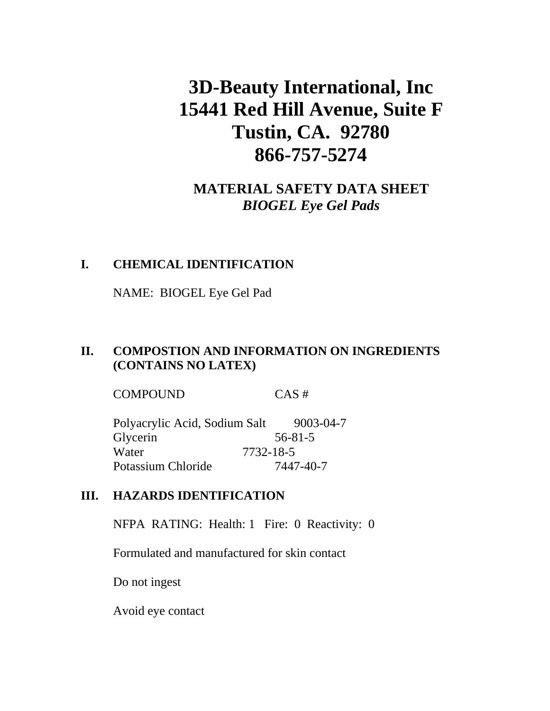# **3D-Beauty International, Inc 15441 Red Hill Avenue, Suite F Tustin, CA. 92780 866-757-5274**

## **MATERIAL SAFETY DATA SHEET**  *BIOGEL Eye Gel Pads*

#### **I. CHEMICAL IDENTIFICATION**

NAME: BIOGEL Eye Gel Pad

## **II. COMPOSTION AND INFORMATION ON INGREDIENTS (CONTAINS NO LATEX)**

COMPOUND CAS #

| Polyacrylic Acid, Sodium Salt |               | 9003-04-7 |
|-------------------------------|---------------|-----------|
| Glycerin                      | $56 - 81 - 5$ |           |
| Water                         | 7732-18-5     |           |
| Potassium Chloride            | 7447-40-7     |           |

#### **III. HAZARDS IDENTIFICATION**

NFPA RATING: Health: 1 Fire: 0 Reactivity: 0

Formulated and manufactured for skin contact

Do not ingest

Avoid eye contact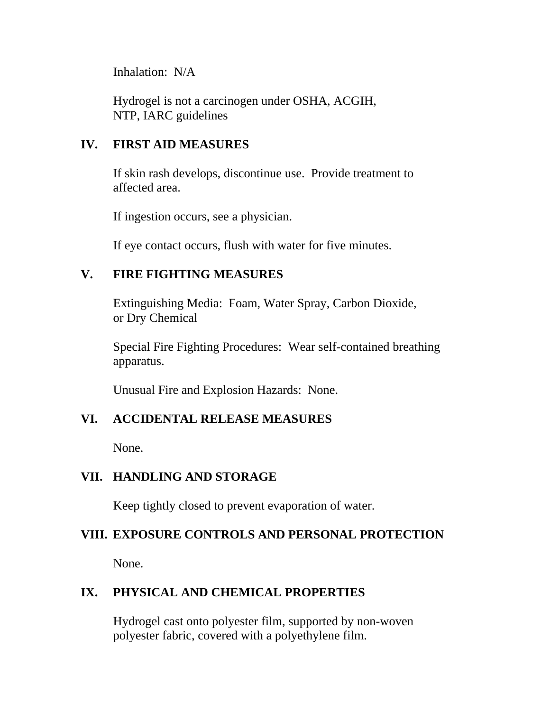Inhalation: N/A

Hydrogel is not a carcinogen under OSHA, ACGIH, NTP, IARC guidelines

## **IV. FIRST AID MEASURES**

If skin rash develops, discontinue use. Provide treatment to affected area.

If ingestion occurs, see a physician.

If eye contact occurs, flush with water for five minutes.

## **V. FIRE FIGHTING MEASURES**

Extinguishing Media: Foam, Water Spray, Carbon Dioxide, or Dry Chemical

Special Fire Fighting Procedures: Wear self-contained breathing apparatus.

Unusual Fire and Explosion Hazards: None.

## **VI. ACCIDENTAL RELEASE MEASURES**

None.

#### **VII. HANDLING AND STORAGE**

Keep tightly closed to prevent evaporation of water.

## **VIII. EXPOSURE CONTROLS AND PERSONAL PROTECTION**

None.

## **IX. PHYSICAL AND CHEMICAL PROPERTIES**

Hydrogel cast onto polyester film, supported by non-woven polyester fabric, covered with a polyethylene film.